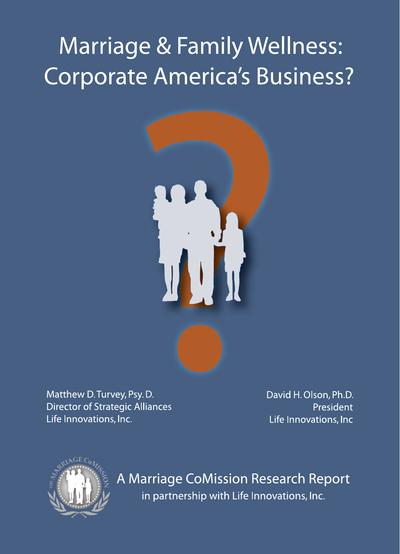# **Marriage & Family Wellness:** Corporate America's Business?



Matthew D. Turvey, Psy. D. **Director of Strategic Alliances** Life Innovations, Inc.

David H. Olson, Ph.D. President Life Innovations, Inc



A Marriage CoMission Research Report in partnership with Life Innovations, Inc.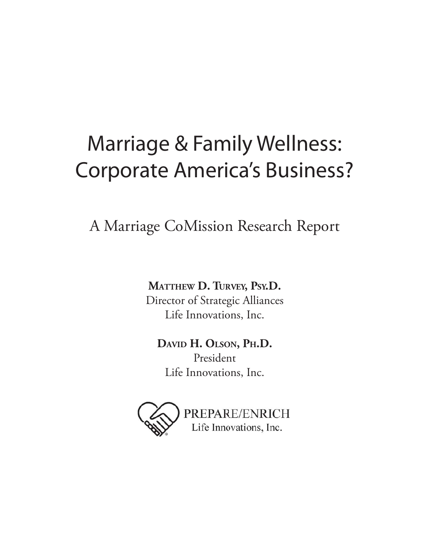# Marriage & Family Wellness: Corporate America's Business?

A Marriage CoMission Research Report

**MATTHEW D. TURVEY, PSY.D.** Director of Strategic Alliances Life Innovations, Inc.

**DAVID H. OLSON, PH.D.** President Life Innovations, Inc.

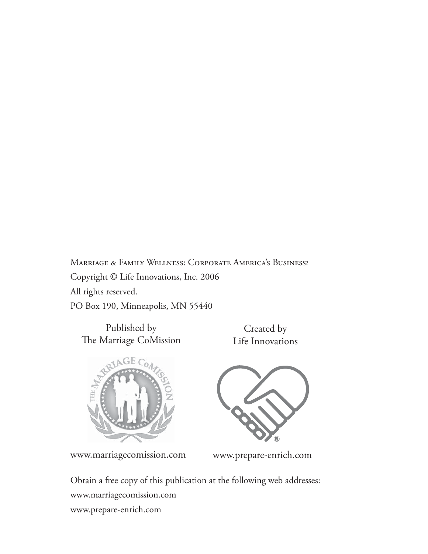Marriage & Family Wellness: Corporate America's Business? Copyright © Life Innovations, Inc. 2006 All rights reserved. PO Box 190, Minneapolis, MN 55440

Published by The Marriage CoMission

Created by Life Innovations



www.marriagecomission.com www.prepare-enrich.com

Obtain a free copy of this publication at the following web addresses: www.marriagecomission.com www.prepare-enrich.com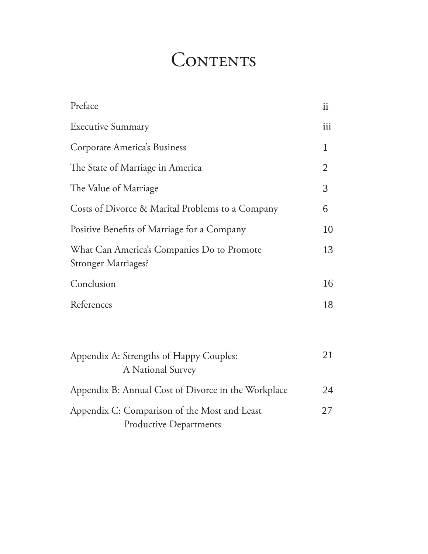# CONTENTS

| Preface                                                                       | $\mathbf{ii}$  |
|-------------------------------------------------------------------------------|----------------|
| <b>Executive Summary</b>                                                      | iii            |
| Corporate America's Business                                                  | 1              |
| The State of Marriage in America                                              | $\overline{2}$ |
| The Value of Marriage                                                         | 3              |
| Costs of Divorce & Marital Problems to a Company                              | 6              |
| Positive Benefits of Marriage for a Company                                   | 10             |
| What Can America's Companies Do to Promote<br><b>Stronger Marriages?</b>      | 13             |
| Conclusion                                                                    | 16             |
| References                                                                    | 18             |
| Appendix A: Strengths of Happy Couples:<br>A National Survey                  | 21             |
| Appendix B: Annual Cost of Divorce in the Workplace                           | 24             |
| Appendix C: Comparison of the Most and Least<br><b>Productive Departments</b> | 27             |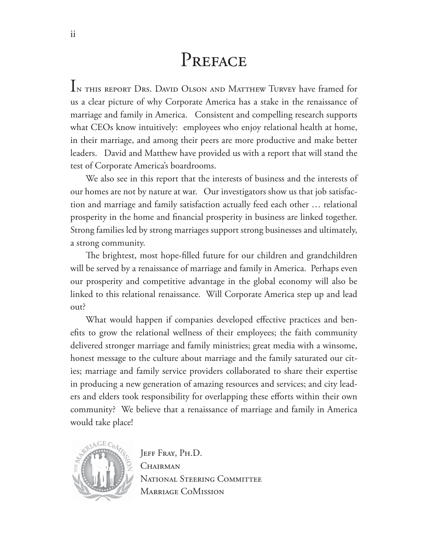# PREFACE

IN THIS REPORT DRS. DAVID OLSON AND MATTHEW TURVEY have framed for us a clear picture of why Corporate America has a stake in the renaissance of marriage and family in America. Consistent and compelling research supports what CEOs know intuitively: employees who enjoy relational health at home, in their marriage, and among their peers are more productive and make better leaders. David and Matthew have provided us with a report that will stand the test of Corporate America's boardrooms.

We also see in this report that the interests of business and the interests of our homes are not by nature at war. Our investigators show us that job satisfaction and marriage and family satisfaction actually feed each other … relational prosperity in the home and financial prosperity in business are linked together. Strong families led by strong marriages support strong businesses and ultimately, a strong community.

The brightest, most hope-filled future for our children and grandchildren will be served by a renaissance of marriage and family in America. Perhaps even our prosperity and competitive advantage in the global economy will also be linked to this relational renaissance. Will Corporate America step up and lead out?

What would happen if companies developed effective practices and benefits to grow the relational wellness of their employees; the faith community delivered stronger marriage and family ministries; great media with a winsome, honest message to the culture about marriage and the family saturated our cities; marriage and family service providers collaborated to share their expertise in producing a new generation of amazing resources and services; and city leaders and elders took responsibility for overlapping these efforts within their own community? We believe that a renaissance of marriage and family in America would take place!



JEFF FRAY, PH.D. **CHAIRMAN** NATIONAL STEERING COMMITTEE Marriage CoMission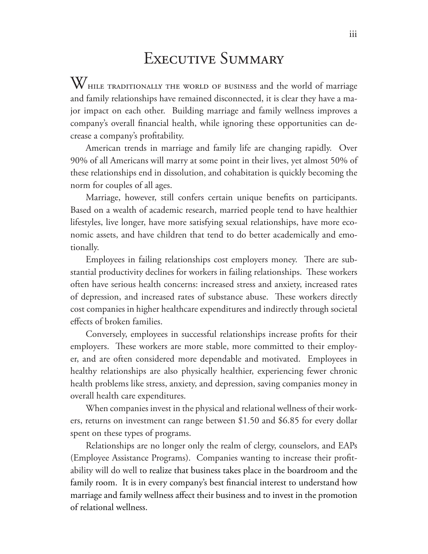### EXECUTIVE SUMMARY

 $\rm W_{\rm HLE\, TRADITIONALLY\, THE\, WORLD\, OF\, BUSINES\, and\, the\ world\ of\ marriage\,$ and family relationships have remained disconnected, it is clear they have a major impact on each other. Building marriage and family wellness improves a company's overall financial health, while ignoring these opportunities can decrease a company's profitability.

American trends in marriage and family life are changing rapidly. Over 90% of all Americans will marry at some point in their lives, yet almost 50% of these relationships end in dissolution, and cohabitation is quickly becoming the norm for couples of all ages.

Marriage, however, still confers certain unique benefits on participants. Based on a wealth of academic research, married people tend to have healthier lifestyles, live longer, have more satisfying sexual relationships, have more economic assets, and have children that tend to do better academically and emotionally.

Employees in failing relationships cost employers money. There are substantial productivity declines for workers in failing relationships. These workers often have serious health concerns: increased stress and anxiety, increased rates of depression, and increased rates of substance abuse. These workers directly cost companies in higher healthcare expenditures and indirectly through societal effects of broken families.

Conversely, employees in successful relationships increase profits for their employers. These workers are more stable, more committed to their employer, and are often considered more dependable and motivated. Employees in healthy relationships are also physically healthier, experiencing fewer chronic health problems like stress, anxiety, and depression, saving companies money in overall health care expenditures.

When companies invest in the physical and relational wellness of their workers, returns on investment can range between \$1.50 and \$6.85 for every dollar spent on these types of programs.

Relationships are no longer only the realm of clergy, counselors, and EAPs (Employee Assistance Programs). Companies wanting to increase their profitability will do well to realize that business takes place in the boardroom and the family room. It is in every company's best financial interest to understand how marriage and family wellness affect their business and to invest in the promotion of relational wellness.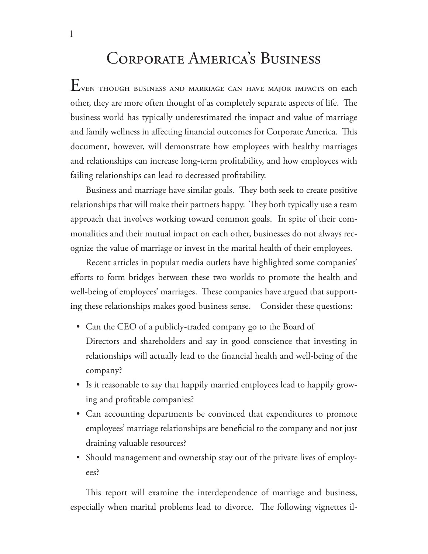# Corporate America's Business

Even though business and marriage can have major impacts on each other, they are more often thought of as completely separate aspects of life. The business world has typically underestimated the impact and value of marriage and family wellness in affecting financial outcomes for Corporate America. This document, however, will demonstrate how employees with healthy marriages and relationships can increase long-term profitability, and how employees with failing relationships can lead to decreased profitability.

Business and marriage have similar goals. They both seek to create positive relationships that will make their partners happy. They both typically use a team approach that involves working toward common goals. In spite of their commonalities and their mutual impact on each other, businesses do not always recognize the value of marriage or invest in the marital health of their employees.

Recent articles in popular media outlets have highlighted some companies' efforts to form bridges between these two worlds to promote the health and well-being of employees' marriages. These companies have argued that supporting these relationships makes good business sense. Consider these questions:

- Can the CEO of a publicly-traded company go to the Board of Directors and shareholders and say in good conscience that investing in relationships will actually lead to the financial health and well-being of the company?
- Is it reasonable to say that happily married employees lead to happily grow-• ing and profitable companies?
- Can accounting departments be convinced that expenditures to promote employees' marriage relationships are beneficial to the company and not just draining valuable resources?
- Should management and ownership stay out of the private lives of employees?

This report will examine the interdependence of marriage and business, especially when marital problems lead to divorce. The following vignettes il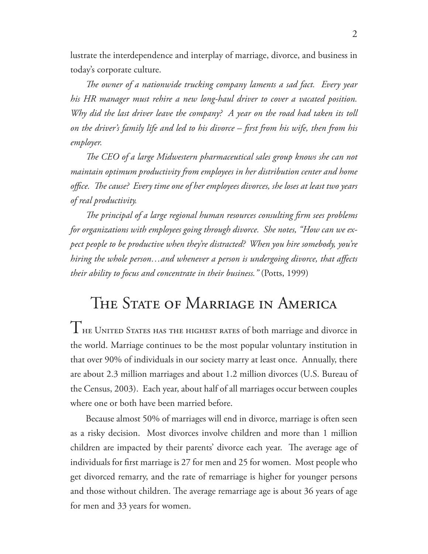lustrate the interdependence and interplay of marriage, divorce, and business in today's corporate culture.

The owner of a nationwide trucking company laments a sad fact. Every year *his HR manager must rehire a new long-haul driver to cover a vacated position. Why did the last driver leave the company? A year on the road had taken its toll*  on the driver's family life and led to his divorce – first from his wife, then from his *employer.*

The CEO of a large Midwestern pharmaceutical sales group knows she can not *maintain optimum productivity from employees in her distribution center and home*  office. The cause? Every time one of her employees divorces, she loses at least two years *of real productivity.* 

The principal of a large regional human resources consulting firm sees problems *for organizations with employees going through divorce. She notes, "How can we expect people to be productive when they're distracted? When you hire somebody, you're hiring the whole person...and whenever a person is undergoing divorce, that affects their ability to focus and concentrate in their business."* (Potts, 1999)

### THE STATE OF MARRIAGE IN AMERICA

 $T$ не United States has the highest rates of both marriage and divorce in the world. Marriage continues to be the most popular voluntary institution in that over 90% of individuals in our society marry at least once. Annually, there are about 2.3 million marriages and about 1.2 million divorces (U.S. Bureau of the Census, 2003). Each year, about half of all marriages occur between couples where one or both have been married before.

Because almost 50% of marriages will end in divorce, marriage is often seen as a risky decision. Most divorces involve children and more than 1 million children are impacted by their parents' divorce each year. The average age of individuals for first marriage is 27 for men and 25 for women. Most people who get divorced remarry, and the rate of remarriage is higher for younger persons and those without children. The average remarriage age is about 36 years of age for men and 33 years for women.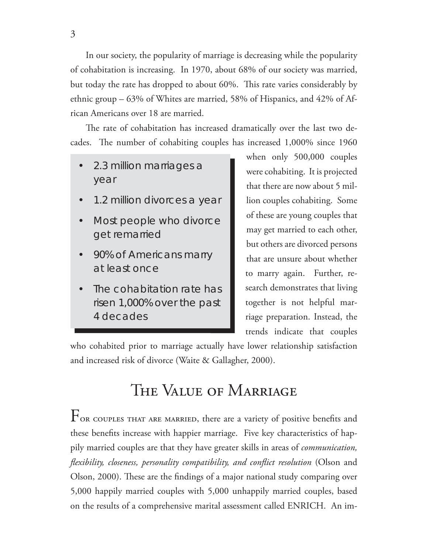In our society, the popularity of marriage is decreasing while the popularity of cohabitation is increasing. In 1970, about 68% of our society was married, but today the rate has dropped to about 60%. This rate varies considerably by ethnic group – 63% of Whites are married, 58% of Hispanics, and 42% of African Americans over 18 are married.

The rate of cohabitation has increased dramatically over the last two decades. The number of cohabiting couples has increased 1,000% since 1960

- 2.3 million marriages a year •
- 1.2 million divorces a year •
- Most people who divorce get remarried •
- 90% of Americans marry at least once •
- The cohabitation rate has risen 1,000% over the past 4 decades •

when only 500,000 couples were cohabiting. It is projected that there are now about 5 million couples cohabiting. Some of these are young couples that may get married to each other, but others are divorced persons that are unsure about whether to marry again. Further, research demonstrates that living together is not helpful marriage preparation. Instead, the trends indicate that couples

who cohabited prior to marriage actually have lower relationship satisfaction and increased risk of divorce (Waite & Gallagher, 2000).

# The Value of Marriage

 $F_{\text{OR COUPLES THAT ARE MARKED, there are a variety of positive benefits and}$ these benefits increase with happier marriage. Five key characteristics of happily married couples are that they have greater skills in areas of *communication, flexibility, closeness, personality compatibility, and conflict resolution* (Olson and Olson, 2000). These are the findings of a major national study comparing over 5,000 happily married couples with 5,000 unhappily married couples, based on the results of a comprehensive marital assessment called ENRICH. An im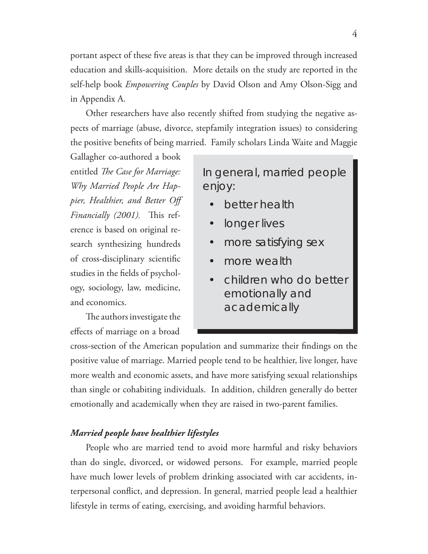portant aspect of these five areas is that they can be improved through increased education and skills-acquisition. More details on the study are reported in the self-help book *Empowering Couples* by David Olson and Amy Olson-Sigg and

in Appendix A. Other researchers have also recently shifted from studying the negative aspects of marriage (abuse, divorce, stepfamily integration issues) to considering the positive benefits of being married. Family scholars Linda Waite and Maggie

Gallagher co-authored a book entitled *The Case for Marriage: Why Married People Are Happier, Healthier, and Better Off Financially (2001).* This reference is based on original research synthesizing hundreds of cross-disciplinary scientific studies in the fields of psychology, sociology, law, medicine, and economics.

The authors investigate the effects of marriage on a broad In general, married people enjoy:

- better health •
- longer lives •
- more satisfying sex •
- more wealth •
- children who do better emotionally and academically •

cross-section of the American population and summarize their findings on the positive value of marriage. Married people tend to be healthier, live longer, have more wealth and economic assets, and have more satisfying sexual relationships than single or cohabiting individuals. In addition, children generally do better emotionally and academically when they are raised in two-parent families.

#### *Married people have healthier lifestyles*

People who are married tend to avoid more harmful and risky behaviors than do single, divorced, or widowed persons. For example, married people have much lower levels of problem drinking associated with car accidents, interpersonal conflict, and depression. In general, married people lead a healthier lifestyle in terms of eating, exercising, and avoiding harmful behaviors.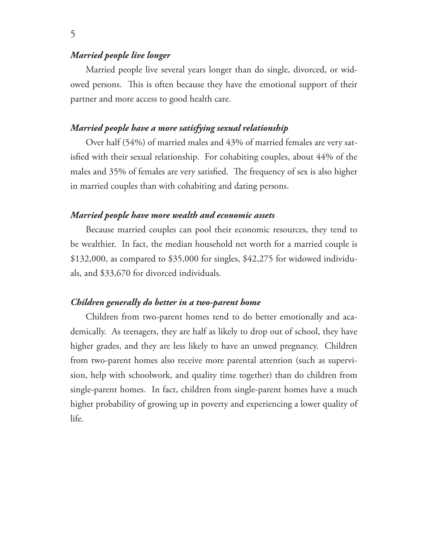#### *Married people live longer*

Married people live several years longer than do single, divorced, or widowed persons. This is often because they have the emotional support of their partner and more access to good health care.

#### *Married people have a more satisfying sexual relationship*

Over half (54%) of married males and 43% of married females are very satisfied with their sexual relationship. For cohabiting couples, about 44% of the males and 35% of females are very satisfied. The frequency of sex is also higher in married couples than with cohabiting and dating persons.

#### *Married people have more wealth and economic assets*

Because married couples can pool their economic resources, they tend to be wealthier. In fact, the median household net worth for a married couple is \$132,000, as compared to \$35,000 for singles, \$42,275 for widowed individuals, and \$33,670 for divorced individuals.

#### *Children generally do better in a two-parent home*

Children from two-parent homes tend to do better emotionally and academically. As teenagers, they are half as likely to drop out of school, they have higher grades, and they are less likely to have an unwed pregnancy. Children from two-parent homes also receive more parental attention (such as supervision, help with schoolwork, and quality time together) than do children from single-parent homes. In fact, children from single-parent homes have a much higher probability of growing up in poverty and experiencing a lower quality of life.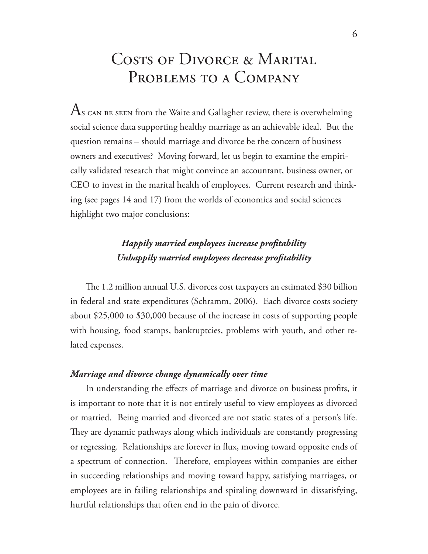### COSTS OF DIVORCE & MARITAL PROBLEMS TO A COMPANY

 $\rm As$  can be seen from the Waite and Gallagher review, there is overwhelming social science data supporting healthy marriage as an achievable ideal. But the question remains – should marriage and divorce be the concern of business owners and executives? Moving forward, let us begin to examine the empirically validated research that might convince an accountant, business owner, or CEO to invest in the marital health of employees. Current research and thinking (see pages 14 and 17) from the worlds of economics and social sciences highlight two major conclusions:

### *Happily married employees increase profi tability Unhappily married employees decrease profi tability*

The 1.2 million annual U.S. divorces cost taxpayers an estimated \$30 billion in federal and state expenditures (Schramm, 2006). Each divorce costs society about \$25,000 to \$30,000 because of the increase in costs of supporting people with housing, food stamps, bankruptcies, problems with youth, and other related expenses.

### *Marriage and divorce change dynamically over time*

In understanding the effects of marriage and divorce on business profits, it is important to note that it is not entirely useful to view employees as divorced or married. Being married and divorced are not static states of a person's life. They are dynamic pathways along which individuals are constantly progressing or regressing. Relationships are forever in flux, moving toward opposite ends of a spectrum of connection. Therefore, employees within companies are either in succeeding relationships and moving toward happy, satisfying marriages, or employees are in failing relationships and spiraling downward in dissatisfying, hurtful relationships that often end in the pain of divorce.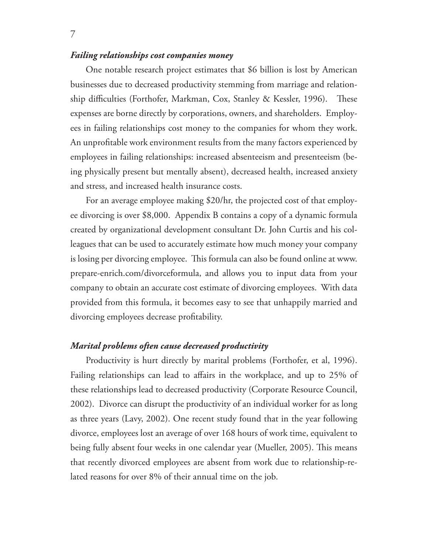#### *Failing relationships cost companies money*

One notable research project estimates that \$6 billion is lost by American businesses due to decreased productivity stemming from marriage and relationship difficulties (Forthofer, Markman, Cox, Stanley & Kessler, 1996). These expenses are borne directly by corporations, owners, and shareholders. Employees in failing relationships cost money to the companies for whom they work. An unprofitable work environment results from the many factors experienced by employees in failing relationships: increased absenteeism and presenteeism (being physically present but mentally absent), decreased health, increased anxiety and stress, and increased health insurance costs.

For an average employee making \$20/hr, the projected cost of that employee divorcing is over \$8,000. Appendix B contains a copy of a dynamic formula created by organizational development consultant Dr. John Curtis and his colleagues that can be used to accurately estimate how much money your company is losing per divorcing employee. This formula can also be found online at www. prepare-enrich.com/divorceformula, and allows you to input data from your company to obtain an accurate cost estimate of divorcing employees. With data provided from this formula, it becomes easy to see that unhappily married and divorcing employees decrease profitability.

#### *Marital problems often cause decreased productivity*

Productivity is hurt directly by marital problems (Forthofer, et al, 1996). Failing relationships can lead to affairs in the workplace, and up to 25% of these relationships lead to decreased productivity (Corporate Resource Council, 2002). Divorce can disrupt the productivity of an individual worker for as long as three years (Lavy, 2002). One recent study found that in the year following divorce, employees lost an average of over 168 hours of work time, equivalent to being fully absent four weeks in one calendar year (Mueller, 2005). This means that recently divorced employees are absent from work due to relationship-related reasons for over 8% of their annual time on the job.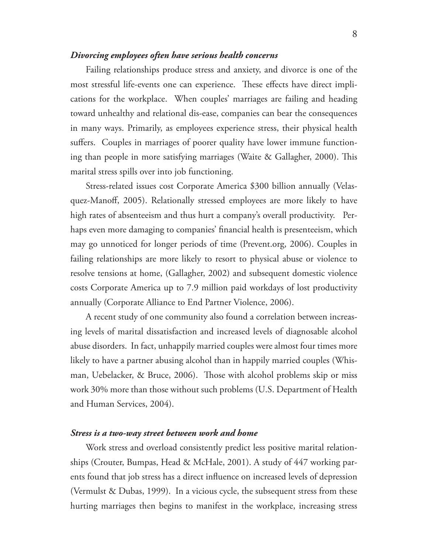#### *Divorcing employees often have serious health concerns*

Failing relationships produce stress and anxiety, and divorce is one of the most stressful life-events one can experience. These effects have direct implications for the workplace. When couples' marriages are failing and heading toward unhealthy and relational dis-ease, companies can bear the consequences in many ways. Primarily, as employees experience stress, their physical health suffers. Couples in marriages of poorer quality have lower immune functioning than people in more satisfying marriages (Waite & Gallagher, 2000). This marital stress spills over into job functioning.

Stress-related issues cost Corporate America \$300 billion annually (Velasquez-Manoff, 2005). Relationally stressed employees are more likely to have high rates of absenteeism and thus hurt a company's overall productivity. Perhaps even more damaging to companies' financial health is presenteeism, which may go unnoticed for longer periods of time (Prevent.org, 2006). Couples in failing relationships are more likely to resort to physical abuse or violence to resolve tensions at home, (Gallagher, 2002) and subsequent domestic violence costs Corporate America up to 7.9 million paid workdays of lost productivity annually (Corporate Alliance to End Partner Violence, 2006).

A recent study of one community also found a correlation between increasing levels of marital dissatisfaction and increased levels of diagnosable alcohol abuse disorders. In fact, unhappily married couples were almost four times more likely to have a partner abusing alcohol than in happily married couples (Whisman, Uebelacker, & Bruce, 2006). Those with alcohol problems skip or miss work 30% more than those without such problems (U.S. Department of Health and Human Services, 2004).

#### *Stress is a two-way street between work and home*

Work stress and overload consistently predict less positive marital relationships (Crouter, Bumpas, Head & McHale, 2001). A study of 447 working parents found that job stress has a direct influence on increased levels of depression (Vermulst & Dubas, 1999). In a vicious cycle, the subsequent stress from these hurting marriages then begins to manifest in the workplace, increasing stress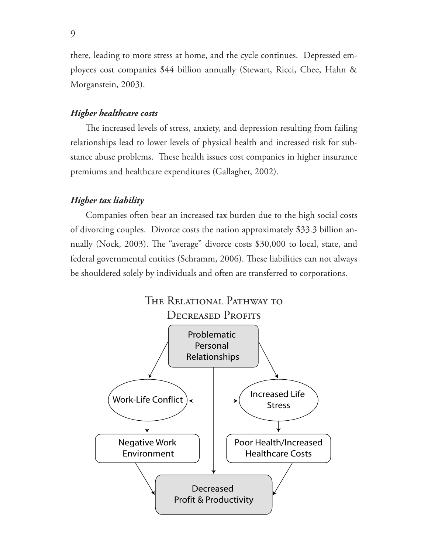there, leading to more stress at home, and the cycle continues. Depressed employees cost companies \$44 billion annually (Stewart, Ricci, Chee, Hahn & Morganstein, 2003).

#### *Higher healthcare costs*

The increased levels of stress, anxiety, and depression resulting from failing relationships lead to lower levels of physical health and increased risk for substance abuse problems. These health issues cost companies in higher insurance premiums and healthcare expenditures (Gallagher, 2002).

#### *Higher tax liability*

Companies often bear an increased tax burden due to the high social costs of divorcing couples. Divorce costs the nation approximately \$33.3 billion annually (Nock, 2003). The "average" divorce costs \$30,000 to local, state, and federal governmental entities (Schramm, 2006). These liabilities can not always be shouldered solely by individuals and often are transferred to corporations.

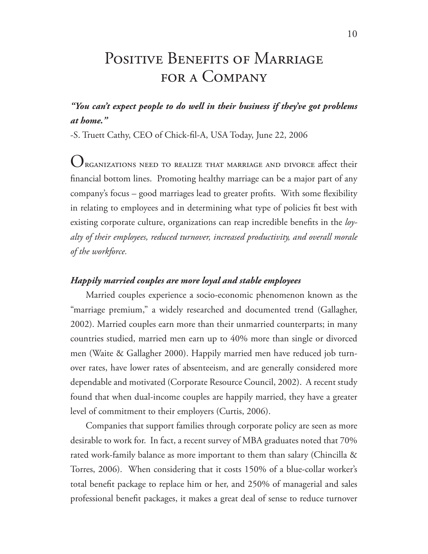## POSITIVE BENEFITS OF MARRIAGE for a Company

### *"You can't expect people to do well in their business if they've got problems at home."*

-S. Truett Cathy, CEO of Chick-fil-A, USA Today, June 22, 2006

 $O_{\text{RGANIZATIONS} \text{ NED TO REALIZE THAT MARKIAGE AND DIVORCE affect their}}$ financial bottom lines. Promoting healthy marriage can be a major part of any company's focus – good marriages lead to greater profits. With some flexibility in relating to employees and in determining what type of policies fit best with existing corporate culture, organizations can reap incredible benefits in the *loyalty of their employees, reduced turnover, increased productivity, and overall morale of the workforce.* 

#### *Happily married couples are more loyal and stable employees*

Married couples experience a socio-economic phenomenon known as the "marriage premium," a widely researched and documented trend (Gallagher, 2002). Married couples earn more than their unmarried counterparts; in many countries studied, married men earn up to 40% more than single or divorced men (Waite & Gallagher 2000). Happily married men have reduced job turnover rates, have lower rates of absenteeism, and are generally considered more dependable and motivated (Corporate Resource Council, 2002). A recent study found that when dual-income couples are happily married, they have a greater level of commitment to their employers (Curtis, 2006).

Companies that support families through corporate policy are seen as more desirable to work for. In fact, a recent survey of MBA graduates noted that 70% rated work-family balance as more important to them than salary (Chincilla & Torres, 2006). When considering that it costs 150% of a blue-collar worker's total benefit package to replace him or her, and 250% of managerial and sales professional benefit packages, it makes a great deal of sense to reduce turnover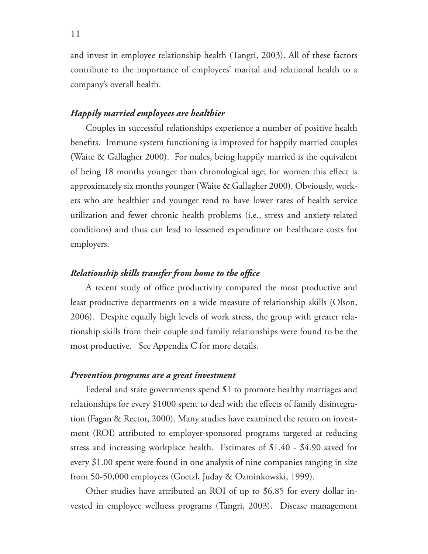and invest in employee relationship health (Tangri, 2003). All of these factors contribute to the importance of employees' marital and relational health to a company's overall health.

#### *Happily married employees are healthier*

Couples in successful relationships experience a number of positive health benefits. Immune system functioning is improved for happily married couples (Waite & Gallagher 2000). For males, being happily married is the equivalent of being 18 months younger than chronological age; for women this effect is approximately six months younger (Waite & Gallagher 2000). Obviously, workers who are healthier and younger tend to have lower rates of health service utilization and fewer chronic health problems (i.e., stress and anxiety-related conditions) and thus can lead to lessened expenditure on healthcare costs for employers.

#### *Relationship skills transfer from home to the office*

A recent study of office productivity compared the most productive and least productive departments on a wide measure of relationship skills (Olson, 2006). Despite equally high levels of work stress, the group with greater relationship skills from their couple and family relationships were found to be the most productive. See Appendix C for more details.

#### *Prevention programs are a great investment*

Federal and state governments spend \$1 to promote healthy marriages and relationships for every \$1000 spent to deal with the effects of family disintegration (Fagan & Rector, 2000). Many studies have examined the return on investment (ROI) attributed to employer-sponsored programs targeted at reducing stress and increasing workplace health. Estimates of \$1.40 - \$4.90 saved for every \$1.00 spent were found in one analysis of nine companies ranging in size from 50-50,000 employees (Goetzl, Juday & Ozminkowski, 1999).

Other studies have attributed an ROI of up to \$6.85 for every dollar invested in employee wellness programs (Tangri, 2003). Disease management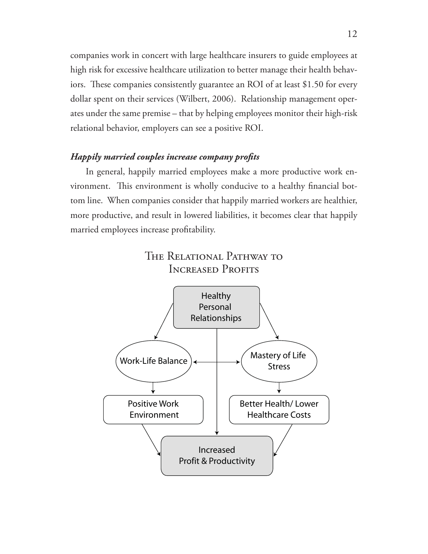companies work in concert with large healthcare insurers to guide employees at high risk for excessive healthcare utilization to better manage their health behaviors. These companies consistently guarantee an ROI of at least \$1.50 for every dollar spent on their services (Wilbert, 2006). Relationship management operates under the same premise – that by helping employees monitor their high-risk relational behavior, employers can see a positive ROI.

#### *Happily married couples increase company profi ts*

In general, happily married employees make a more productive work environment. This environment is wholly conducive to a healthy financial bottom line. When companies consider that happily married workers are healthier, more productive, and result in lowered liabilities, it becomes clear that happily married employees increase profitability.



12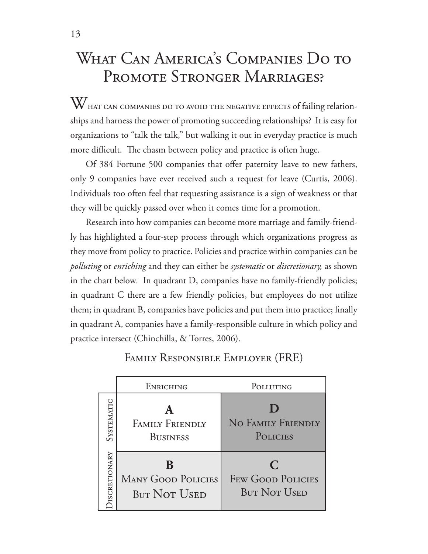# What Can America's Companies Do to PROMOTE STRONGER MARRIAGES?

W HAT CAN COMPANIES DO TO AVOID THE NEGATIVE EFFECTS of failing relationships and harness the power of promoting succeeding relationships? It is easy for organizations to "talk the talk," but walking it out in everyday practice is much more difficult. The chasm between policy and practice is often huge.

Of 384 Fortune 500 companies that offer paternity leave to new fathers, only 9 companies have ever received such a request for leave (Curtis, 2006). Individuals too often feel that requesting assistance is a sign of weakness or that they will be quickly passed over when it comes time for a promotion.

Research into how companies can become more marriage and family-friendly has highlighted a four-step process through which organizations progress as they move from policy to practice. Policies and practice within companies can be *polluting* or *enriching* and they can either be *systematic* or *discretionary,* as shown in the chart below*.* In quadrant D, companies have no family-friendly policies; in quadrant C there are a few friendly policies, but employees do not utilize them; in quadrant B, companies have policies and put them into practice; finally in quadrant A, companies have a family-responsible culture in which policy and practice intersect (Chinchilla, & Torres, 2006).

|                     | <b>ENRICHING</b>                                 | POLLUTING                                            |
|---------------------|--------------------------------------------------|------------------------------------------------------|
| SYSTEMATIC          | <b>FAMILY FRIENDLY</b><br><b>BUSINESS</b>        | NO FAMILY FRIENDLY<br>POLICIES                       |
| <b>ISCRETIONARY</b> | <b>MANY GOOD POLICIES</b><br><b>BUT NOT USED</b> | C<br><b>FEW GOOD POLICIES</b><br><b>BUT NOT USED</b> |

### Family Responsible Employer (FRE)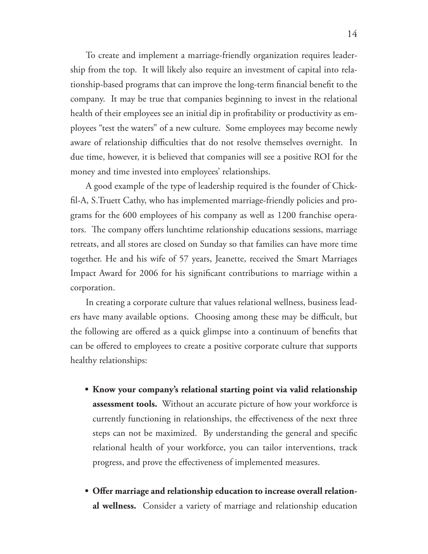To create and implement a marriage-friendly organization requires leadership from the top. It will likely also require an investment of capital into relationship-based programs that can improve the long-term financial benefit to the company. It may be true that companies beginning to invest in the relational health of their employees see an initial dip in profitability or productivity as employees "test the waters" of a new culture. Some employees may become newly aware of relationship difficulties that do not resolve themselves overnight. In due time, however, it is believed that companies will see a positive ROI for the money and time invested into employees' relationships.

A good example of the type of leadership required is the founder of Chickfil-A, S. Truett Cathy, who has implemented marriage-friendly policies and programs for the 600 employees of his company as well as 1200 franchise operators. The company offers lunchtime relationship educations sessions, marriage retreats, and all stores are closed on Sunday so that families can have more time together. He and his wife of 57 years, Jeanette, received the Smart Marriages Impact Award for 2006 for his significant contributions to marriage within a corporation.

In creating a corporate culture that values relational wellness, business leaders have many available options. Choosing among these may be difficult, but the following are offered as a quick glimpse into a continuum of benefits that can be offered to employees to create a positive corporate culture that supports healthy relationships:

- **Know your company's relational starting point via valid relationship • assessment tools.** Without an accurate picture of how your workforce is currently functioning in relationships, the effectiveness of the next three steps can not be maximized. By understanding the general and specific relational health of your workforce, you can tailor interventions, track progress, and prove the effectiveness of implemented measures.
- Offer marriage and relationship education to increase overall relation**al wellness.** Consider a variety of marriage and relationship education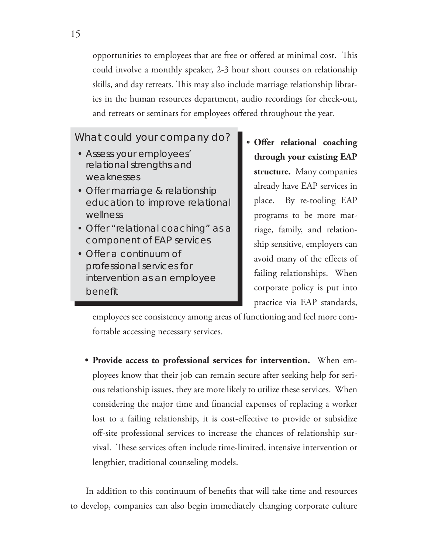opportunities to employees that are free or offered at minimal cost. This could involve a monthly speaker, 2-3 hour short courses on relationship skills, and day retreats. This may also include marriage relationship libraries in the human resources department, audio recordings for check-out, and retreats or seminars for employees offered throughout the year.

### What could your company do?

- Assess your employees' relational strengths and weaknesses
- Offer marriage & relationship education to improve relational wellness
- Offer "relational coaching" as a component of EAP services
- Offer a continuum of professional services for intervention as an employee benefit
- Offer relational coaching **through your existing EAP structure.** Many companies already have EAP services in place. By re-tooling EAP programs to be more marriage, family, and relationship sensitive, employers can avoid many of the effects of failing relationships. When corporate policy is put into practice via EAP standards,

employees see consistency among areas of functioning and feel more comfortable accessing necessary services.

**Provide access to professional services for intervention.** When em-**•** ployees know that their job can remain secure after seeking help for serious relationship issues, they are more likely to utilize these services. When considering the major time and financial expenses of replacing a worker lost to a failing relationship, it is cost-effective to provide or subsidize off -site professional services to increase the chances of relationship survival. These services often include time-limited, intensive intervention or lengthier, traditional counseling models.

In addition to this continuum of benefits that will take time and resources to develop, companies can also begin immediately changing corporate culture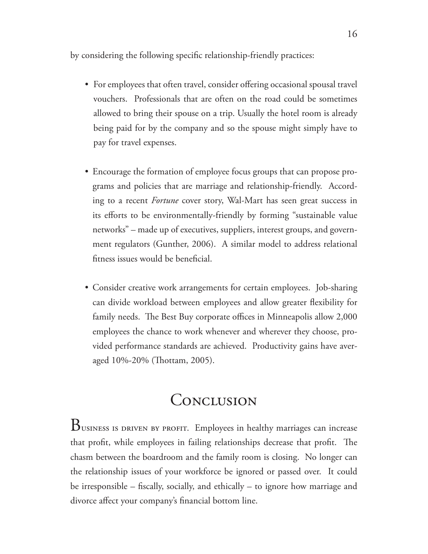by considering the following specific relationship-friendly practices:

- For employees that often travel, consider offering occasional spousal travel vouchers. Professionals that are often on the road could be sometimes allowed to bring their spouse on a trip. Usually the hotel room is already being paid for by the company and so the spouse might simply have to pay for travel expenses.
- Encourage the formation of employee focus groups that can propose pro-• grams and policies that are marriage and relationship-friendly. According to a recent *Fortune* cover story, Wal-Mart has seen great success in its efforts to be environmentally-friendly by forming "sustainable value networks" – made up of executives, suppliers, interest groups, and government regulators (Gunther, 2006). A similar model to address relational fitness issues would be beneficial.
- Consider creative work arrangements for certain employees. Job-sharing •can divide workload between employees and allow greater flexibility for family needs. The Best Buy corporate offices in Minneapolis allow 2,000 employees the chance to work whenever and wherever they choose, provided performance standards are achieved. Productivity gains have averaged 10%-20% (Thottam, 2005).

### **CONCLUSION**

BUSINESS IS DRIVEN BY PROFIT. Employees in healthy marriages can increase that profit, while employees in failing relationships decrease that profit. The chasm between the boardroom and the family room is closing. No longer can the relationship issues of your workforce be ignored or passed over. It could be irresponsible – fiscally, socially, and ethically – to ignore how marriage and divorce affect your company's financial bottom line.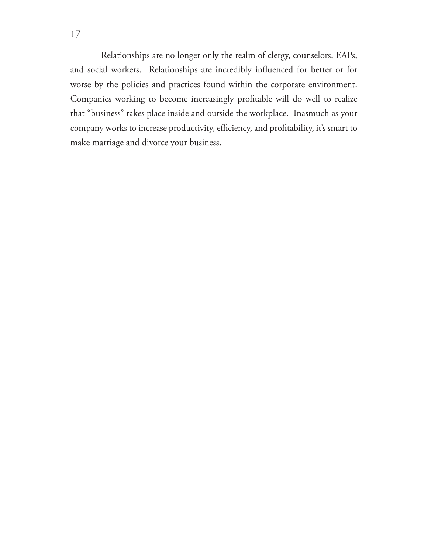Relationships are no longer only the realm of clergy, counselors, EAPs, and social workers. Relationships are incredibly influenced for better or for worse by the policies and practices found within the corporate environment. Companies working to become increasingly profitable will do well to realize that "business" takes place inside and outside the workplace. Inasmuch as your company works to increase productivity, efficiency, and profitability, it's smart to make marriage and divorce your business.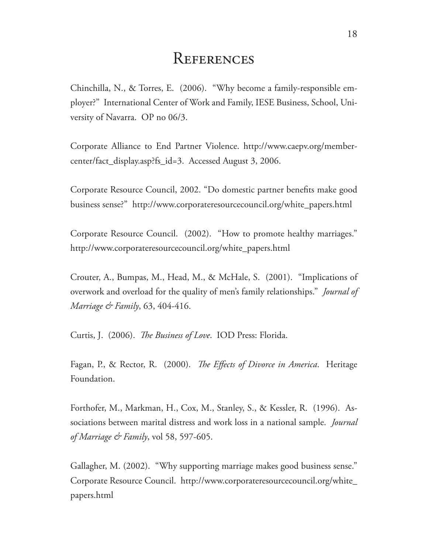### **REFERENCES**

Chinchilla, N., & Torres, E. (2006). "Why become a family-responsible employer?" International Center of Work and Family, IESE Business, School, University of Navarra. OP no 06/3.

Corporate Alliance to End Partner Violence. http://www.caepv.org/membercenter/fact\_display.asp?fs\_id=3. Accessed August 3, 2006.

Corporate Resource Council, 2002. "Do domestic partner benefits make good business sense?" http://www.corporateresourcecouncil.org/white\_papers.html

Corporate Resource Council. (2002). "How to promote healthy marriages." http://www.corporateresourcecouncil.org/white\_papers.html

Crouter, A., Bumpas, M., Head, M., & McHale, S. (2001). "Implications of overwork and overload for the quality of men's family relationships." *Journal of Marriage & Family*, 63, 404-416.

Curtis, J. (2006). *The Business of Love*. IOD Press: Florida.

Fagan, P., & Rector, R. (2000). *The Effects of Divorce in America*. Heritage Foundation.

Forthofer, M., Markman, H., Cox, M., Stanley, S., & Kessler, R. (1996). Associations between marital distress and work loss in a national sample. *Journal of Marriage & Family*, vol 58, 597-605.

Gallagher, M. (2002). "Why supporting marriage makes good business sense." Corporate Resource Council. http://www.corporateresourcecouncil.org/white\_ papers.html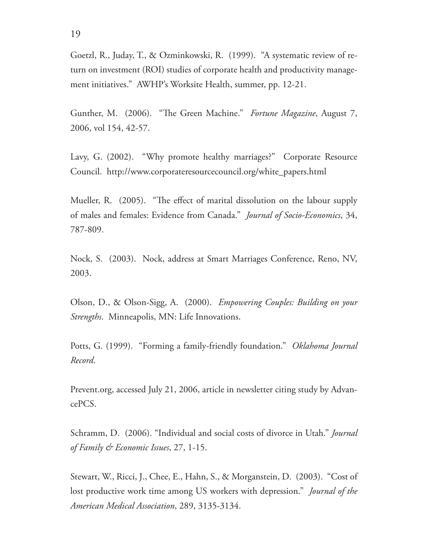Goetzl, R., Juday, T., & Ozminkowski, R. (1999). "A systematic review of return on investment (ROI) studies of corporate health and productivity management initiatives." AWHP's Worksite Health, summer, pp. 12-21.

Gunther, M. (2006). "The Green Machine." *Fortune Magazine*, August 7, 2006, vol 154, 42-57.

Lavy, G. (2002). "Why promote healthy marriages?" Corporate Resource Council. http://www.corporateresourcecouncil.org/white\_papers.html

Mueller, R. (2005). "The effect of marital dissolution on the labour supply of males and females: Evidence from Canada." *Journal of Socio-Economics*, 34, 787-809.

Nock, S. (2003). Nock, address at Smart Marriages Conference, Reno, NV, 2003.

Olson, D., & Olson-Sigg, A. (2000). *Empowering Couples: Building on your Strengths*. Minneapolis, MN: Life Innovations.

Potts, G. (1999). "Forming a family-friendly foundation." *Oklahoma Journal Record*.

Prevent.org, accessed July 21, 2006, article in newsletter citing study by AdvancePCS.

Schramm, D. (2006). "Individual and social costs of divorce in Utah." *Journal of Family & Economic Issues*, 27, 1-15.

Stewart, W., Ricci, J., Chee, E., Hahn, S., & Morganstein, D. (2003). "Cost of lost productive work time among US workers with depression." *Journal of the American Medical Association*, 289, 3135-3134.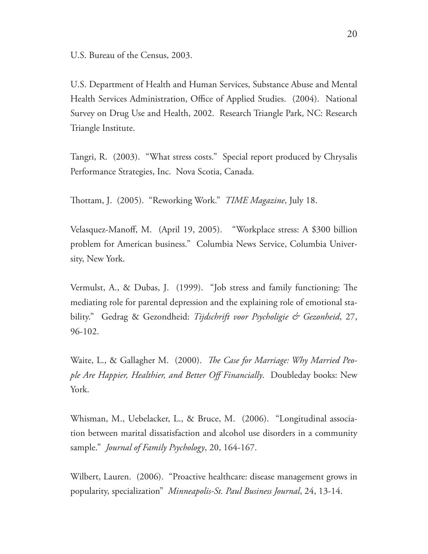U.S. Bureau of the Census, 2003.

U.S. Department of Health and Human Services, Substance Abuse and Mental Health Services Administration, Office of Applied Studies. (2004). National Survey on Drug Use and Health, 2002. Research Triangle Park, NC: Research Triangle Institute.

Tangri, R. (2003). "What stress costs." Special report produced by Chrysalis Performance Strategies, Inc. Nova Scotia, Canada.

Th ottam, J. (2005). "Reworking Work." *TIME Magazine*, July 18.

Velasquez-Manoff, M. (April 19, 2005). "Workplace stress: A \$300 billion problem for American business." Columbia News Service, Columbia University, New York.

Vermulst, A., & Dubas, J. (1999). "Job stress and family functioning: The mediating role for parental depression and the explaining role of emotional stability." Gedrag & Gezondheid: *Tijdschrift voor Psycholigie & Gezonheid*, 27, 96-102.

Waite, L., & Gallagher M. (2000). *The Case for Marriage: Why Married People Are Happier, Healthier, and Better Off Financially*. Doubleday books: New York.

Whisman, M., Uebelacker, L., & Bruce, M. (2006). "Longitudinal association between marital dissatisfaction and alcohol use disorders in a community sample." *Journal of Family Psychology*, 20, 164-167.

Wilbert, Lauren. (2006). "Proactive healthcare: disease management grows in popularity, specialization" *Minneapolis-St. Paul Business Journal*, 24, 13-14.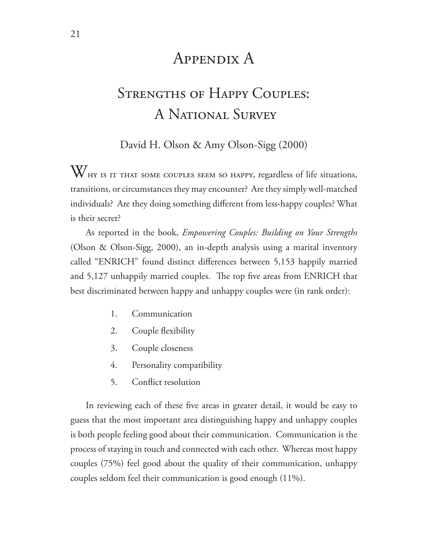### Appendix A

# STRENGTHS OF HAPPY COUPLES: A National Survey

David H. Olson & Amy Olson-Sigg (2000)

WHY IS IT THAT SOME COUPLES SEEM SO HAPPY, regardless of life situations, transitions, or circumstances they may encounter? Are they simply well-matched individuals? Are they doing something different from less-happy couples? What is their secret?

As reported in the book, *Empowering Couples: Building on Your Strengths*  (Olson & Olson-Sigg, 2000), an in-depth analysis using a marital inventory called "ENRICH" found distinct differences between 5,153 happily married and 5,127 unhappily married couples. The top five areas from ENRICH that best discriminated between happy and unhappy couples were (in rank order):

- 1. Communication
- 2. Couple flexibility
- 3. Couple closeness
- 4. Personality compatibility
- 5. Conflict resolution

In reviewing each of these five areas in greater detail, it would be easy to guess that the most important area distinguishing happy and unhappy couples is both people feeling good about their communication. Communication is the process of staying in touch and connected with each other. Whereas most happy couples (75%) feel good about the quality of their communication, unhappy couples seldom feel their communication is good enough (11%).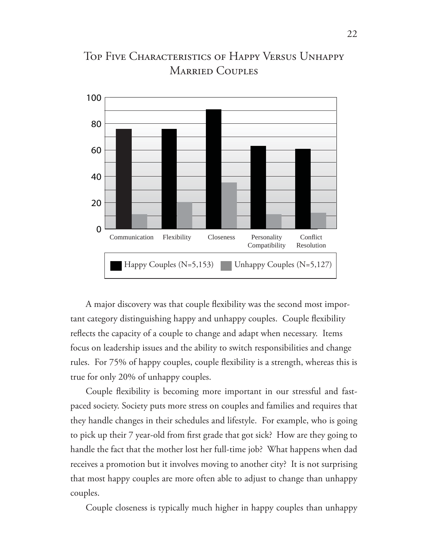

### Top Five Characteristics of Happy Versus Unhappy Married Couples

A major discovery was that couple flexibility was the second most important category distinguishing happy and unhappy couples. Couple flexibility reflects the capacity of a couple to change and adapt when necessary. Items focus on leadership issues and the ability to switch responsibilities and change rules. For 75% of happy couples, couple flexibility is a strength, whereas this is true for only 20% of unhappy couples.

Couple flexibility is becoming more important in our stressful and fastpaced society. Society puts more stress on couples and families and requires that they handle changes in their schedules and lifestyle. For example, who is going to pick up their 7 year-old from first grade that got sick? How are they going to handle the fact that the mother lost her full-time job? What happens when dad receives a promotion but it involves moving to another city? It is not surprising that most happy couples are more often able to adjust to change than unhappy couples.

Couple closeness is typically much higher in happy couples than unhappy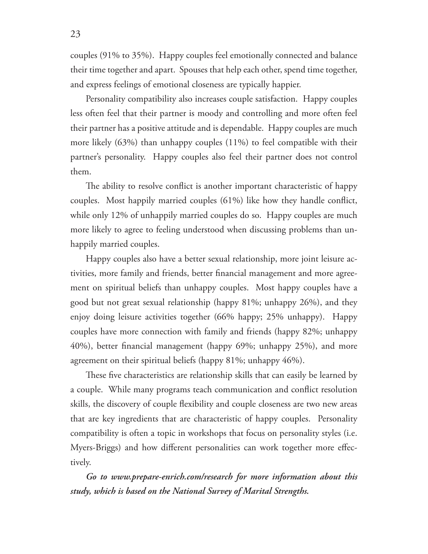couples (91% to 35%). Happy couples feel emotionally connected and balance their time together and apart. Spouses that help each other, spend time together, and express feelings of emotional closeness are typically happier.

Personality compatibility also increases couple satisfaction. Happy couples less often feel that their partner is moody and controlling and more often feel their partner has a positive attitude and is dependable. Happy couples are much more likely (63%) than unhappy couples (11%) to feel compatible with their partner's personality. Happy couples also feel their partner does not control them.

The ability to resolve conflict is another important characteristic of happy couples. Most happily married couples  $(61%)$  like how they handle conflict, while only 12% of unhappily married couples do so. Happy couples are much more likely to agree to feeling understood when discussing problems than unhappily married couples.

Happy couples also have a better sexual relationship, more joint leisure activities, more family and friends, better financial management and more agreement on spiritual beliefs than unhappy couples. Most happy couples have a good but not great sexual relationship (happy 81%; unhappy 26%), and they enjoy doing leisure activities together (66% happy; 25% unhappy). Happy couples have more connection with family and friends (happy 82%; unhappy 40%), better financial management (happy 69%; unhappy 25%), and more agreement on their spiritual beliefs (happy 81%; unhappy 46%).

These five characteristics are relationship skills that can easily be learned by a couple. While many programs teach communication and conflict resolution skills, the discovery of couple flexibility and couple closeness are two new areas that are key ingredients that are characteristic of happy couples. Personality compatibility is often a topic in workshops that focus on personality styles (i.e. Myers-Briggs) and how different personalities can work together more effectively.

*Go to www.prepare-enrich.com/research for more information about this study, which is based on the National Survey of Marital Strengths.*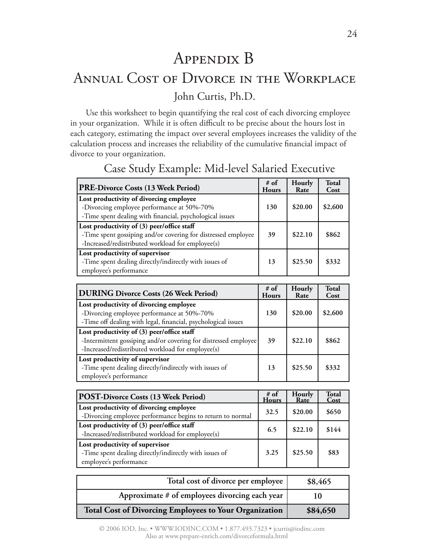# Appendix B Annual Cost of Divorce in the Workplace John Curtis, Ph.D.

Use this worksheet to begin quantifying the real cost of each divorcing employee in your organization. While it is often difficult to be precise about the hours lost in each category, estimating the impact over several employees increases the validity of the calculation process and increases the reliability of the cumulative financial impact of divorce to your organization.

| PRE-Divorce Costs (13 Week Period)                                                                                                                               | # of<br><b>Hours</b> | Hourly<br>Rate | <b>Total</b><br>Cost |
|------------------------------------------------------------------------------------------------------------------------------------------------------------------|----------------------|----------------|----------------------|
| Lost productivity of divorcing employee<br>-Divorcing employee performance at 50%-70%<br>-Time spent dealing with financial, psychological issues                | 130                  | \$20.00        | \$2,600              |
| Lost productivity of (3) peer/office staff<br>-Time spent gossiping and/or covering for distressed employee<br>-Increased/redistributed workload for employee(s) | 39                   | \$22.10        | \$862                |
| Lost productivity of supervisor<br>-Time spent dealing directly/indirectly with issues of<br>employee's performance                                              | 13                   | \$25.50        | \$332                |

### Case Study Example: Mid-level Salaried Executive

| <b>DURING Divorce Costs (26 Week Period)</b>                                                                                                                       | $#$ of<br><b>Hours</b> | Hourly<br>Rate | Total<br>Cost |
|--------------------------------------------------------------------------------------------------------------------------------------------------------------------|------------------------|----------------|---------------|
| Lost productivity of divorcing employee<br>-Divorcing employee performance at 50%-70%<br>-Time off dealing with legal, financial, psychological issues             | 130                    | \$20.00        | \$2,600       |
| Lost productivity of (3) peer/office staff<br>-Intermittent gossiping and/or covering for distressed employee<br>-Increased/redistributed workload for employee(s) | 39                     | \$22.10        | \$862         |
| Lost productivity of supervisor<br>-Time spent dealing directly/indirectly with issues of<br>employee's performance                                                | 13                     | \$25.50        | \$332         |

| POST-Divorce Costs (13 Week Period)                                                                                 | # of<br>Hours | Hourly<br>Rate | <b>Total</b><br>Cost |
|---------------------------------------------------------------------------------------------------------------------|---------------|----------------|----------------------|
| Lost productivity of divorcing employee<br>-Divorcing employee performance begins to return to normal               | 32.5          | \$20.00        | \$650                |
| Lost productivity of (3) peer/office staff<br>-Increased/redistributed workload for employee(s)                     | 6.5           | \$22.10        | \$144                |
| Lost productivity of supervisor<br>-Time spent dealing directly/indirectly with issues of<br>employee's performance | 3.25          | \$25.50        | \$83                 |

| Total cost of divorce per employee                            | \$8,465  |
|---------------------------------------------------------------|----------|
| Approximate # of employees divorcing each year                |          |
| <b>Total Cost of Divorcing Employees to Your Organization</b> | \$84,650 |

© 2006 IOD, Inc. • WWW.IODINC.COM • 1.877.493.7323 • jcurtis@iodinc.com Also at www.prepare-enrich.com/divorceformula.html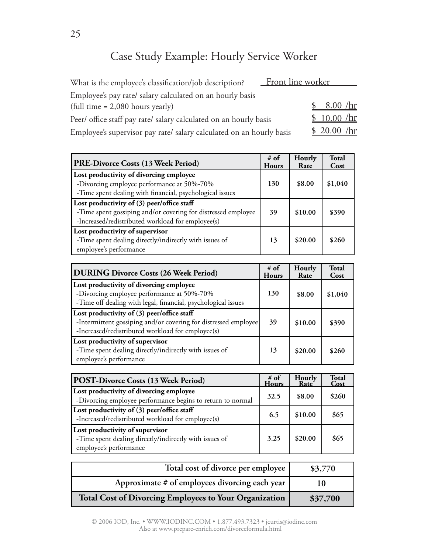### Case Study Example: Hourly Service Worker

| What is the employee's classification/job description?               | Front line worker |
|----------------------------------------------------------------------|-------------------|
| Employee's pay rate/ salary calculated on an hourly basis            |                   |
| $\left(\text{full time} = 2,080 \text{ hours} \text{ yearly}\right)$ | 8.00 / hr         |
| Peer/ office staff pay rate/ salary calculated on an hourly basis    | \$10.00 / hr      |
| Employee's supervisor pay rate/ salary calculated on an hourly basis | \$20.00 / hr      |

| PRE-Divorce Costs (13 Week Period)                                                                                                                               | # of<br><b>Hours</b> | Hourly<br>Rate | <b>Total</b><br>Cost |
|------------------------------------------------------------------------------------------------------------------------------------------------------------------|----------------------|----------------|----------------------|
| Lost productivity of divorcing employee<br>-Divorcing employee performance at 50%-70%<br>-Time spent dealing with financial, psychological issues                | 130                  | \$8.00         | \$1,040              |
| Lost productivity of (3) peer/office staff<br>-Time spent gossiping and/or covering for distressed employee<br>-Increased/redistributed workload for employee(s) | 39                   | \$10.00        | \$390                |
| Lost productivity of supervisor<br>-Time spent dealing directly/indirectly with issues of<br>employee's performance                                              | 13                   | \$20.00        | \$260                |

| <b>DURING Divorce Costs (26 Week Period)</b>                                                                                                                       | $#$ of<br><b>Hours</b> | Hourly<br>Rate | <b>Total</b><br>Cost |
|--------------------------------------------------------------------------------------------------------------------------------------------------------------------|------------------------|----------------|----------------------|
| Lost productivity of divorcing employee<br>-Divorcing employee performance at 50%-70%<br>-Time off dealing with legal, financial, psychological issues             | 130                    | \$8.00         | \$1,040              |
| Lost productivity of (3) peer/office staff<br>-Intermittent gossiping and/or covering for distressed employee<br>-Increased/redistributed workload for employee(s) | 39                     | \$10.00        | \$390                |
| Lost productivity of supervisor<br>-Time spent dealing directly/indirectly with issues of<br>employee's performance                                                | 13                     | \$20.00        | \$260                |

| POST-Divorce Costs (13 Week Period)                                                                                 | # of<br><b>Hours</b> | Hourly<br>Rate <sup>®</sup> | <b>Total</b><br>Cost |
|---------------------------------------------------------------------------------------------------------------------|----------------------|-----------------------------|----------------------|
| Lost productivity of divorcing employee<br>-Divorcing employee performance begins to return to normal               | 32.5                 | \$8.00                      | \$260                |
| Lost productivity of (3) peer/office staff<br>-Increased/redistributed workload for employee(s)                     | 6.5                  | \$10.00                     | \$65                 |
| Lost productivity of supervisor<br>-Time spent dealing directly/indirectly with issues of<br>employee's performance | 3.25                 | \$20.00                     | \$65                 |

| Total cost of divorce per employee                            | \$3,770  |
|---------------------------------------------------------------|----------|
| Approximate # of employees divorcing each year                |          |
| <b>Total Cost of Divorcing Employees to Your Organization</b> | \$37,700 |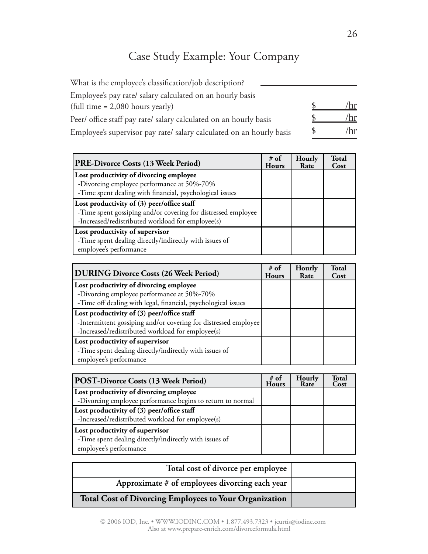### Case Study Example: Your Company

| What is the employee's classification/job description?               |     |
|----------------------------------------------------------------------|-----|
| Employee's pay rate/ salary calculated on an hourly basis            |     |
| $\left(\text{full time} = 2,080 \text{ hours yearly}\right)$         |     |
| Peer/ office staff pay rate/ salary calculated on an hourly basis    | 'hr |
| Employee's supervisor pay rate/ salary calculated on an hourly basis | /hr |

| PRE-Divorce Costs (13 Week Period)                            | # of<br><b>Hours</b> | Hourly<br>Rate | <b>Total</b><br>Cost |
|---------------------------------------------------------------|----------------------|----------------|----------------------|
| Lost productivity of divorcing employee                       |                      |                |                      |
| -Divorcing employee performance at 50%-70%                    |                      |                |                      |
| -Time spent dealing with financial, psychological issues      |                      |                |                      |
| Lost productivity of (3) peer/office staff                    |                      |                |                      |
| -Time spent gossiping and/or covering for distressed employee |                      |                |                      |
| -Increased/redistributed workload for employee(s)             |                      |                |                      |
| Lost productivity of supervisor                               |                      |                |                      |
| -Time spent dealing directly/indirectly with issues of        |                      |                |                      |
| employee's performance                                        |                      |                |                      |

| <b>DURING Divorce Costs (26 Week Period)</b>                    | # of<br><b>Hours</b> | Hourly<br>Rate | <b>Total</b><br>Cost |
|-----------------------------------------------------------------|----------------------|----------------|----------------------|
| Lost productivity of divorcing employee                         |                      |                |                      |
| -Divorcing employee performance at 50%-70%                      |                      |                |                      |
| -Time off dealing with legal, financial, psychological issues   |                      |                |                      |
| Lost productivity of (3) peer/office staff                      |                      |                |                      |
| -Intermittent gossiping and/or covering for distressed employee |                      |                |                      |
| -Increased/redistributed workload for employee(s)               |                      |                |                      |
| Lost productivity of supervisor                                 |                      |                |                      |
| -Time spent dealing directly/indirectly with issues of          |                      |                |                      |
| employee's performance                                          |                      |                |                      |

| POST-Divorce Costs (13 Week Period)                        | # of<br><b>Hours</b> | <b>Hourly</b><br>Rate | Total<br>Cost |
|------------------------------------------------------------|----------------------|-----------------------|---------------|
| Lost productivity of divorcing employee                    |                      |                       |               |
| -Divorcing employee performance begins to return to normal |                      |                       |               |
| Lost productivity of (3) peer/office staff                 |                      |                       |               |
| -Increased/redistributed workload for employee(s)          |                      |                       |               |
| Lost productivity of supervisor                            |                      |                       |               |
| -Time spent dealing directly/indirectly with issues of     |                      |                       |               |
| employee's performance                                     |                      |                       |               |

| Total cost of divorce per employee                            |  |
|---------------------------------------------------------------|--|
| Approximate # of employees divorcing each year                |  |
| <b>Total Cost of Divorcing Employees to Your Organization</b> |  |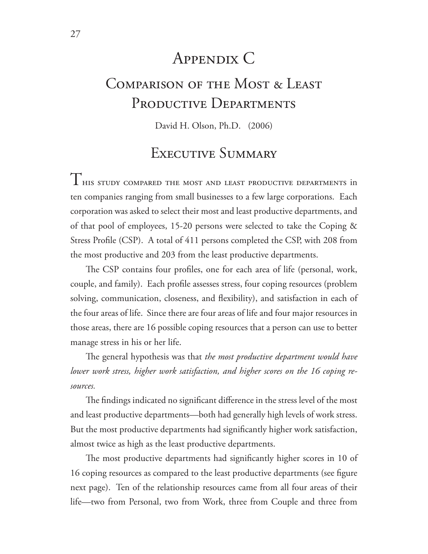### Appendix C

# Comparison of the Most & Least PRODUCTIVE DEPARTMENTS

David H. Olson, Ph.D. (2006)

### Executive Summary

THIS STUDY COMPARED THE MOST AND LEAST PRODUCTIVE DEPARTMENTS in ten companies ranging from small businesses to a few large corporations. Each corporation was asked to select their most and least productive departments, and of that pool of employees, 15-20 persons were selected to take the Coping & Stress Profile (CSP). A total of 411 persons completed the CSP, with 208 from the most productive and 203 from the least productive departments.

The CSP contains four profiles, one for each area of life (personal, work, couple, and family). Each profile assesses stress, four coping resources (problem solving, communication, closeness, and flexibility), and satisfaction in each of the four areas of life. Since there are four areas of life and four major resources in those areas, there are 16 possible coping resources that a person can use to better manage stress in his or her life.

The general hypothesis was that *the most productive department would have lower work stress, higher work satisfaction, and higher scores on the 16 coping resources.*

The findings indicated no significant difference in the stress level of the most and least productive departments—both had generally high levels of work stress. But the most productive departments had significantly higher work satisfaction, almost twice as high as the least productive departments.

The most productive departments had significantly higher scores in 10 of 16 coping resources as compared to the least productive departments (see figure next page). Ten of the relationship resources came from all four areas of their life—two from Personal, two from Work, three from Couple and three from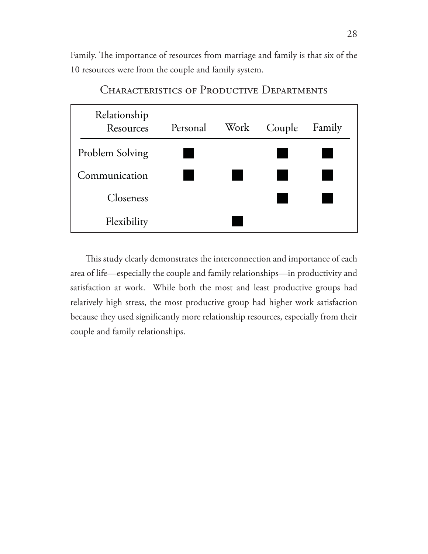Family. The importance of resources from marriage and family is that six of the 10 resources were from the couple and family system.



CHARACTERISTICS OF PRODUCTIVE DEPARTMENTS

This study clearly demonstrates the interconnection and importance of each area of life—especially the couple and family relationships—in productivity and satisfaction at work. While both the most and least productive groups had relatively high stress, the most productive group had higher work satisfaction because they used significantly more relationship resources, especially from their couple and family relationships.